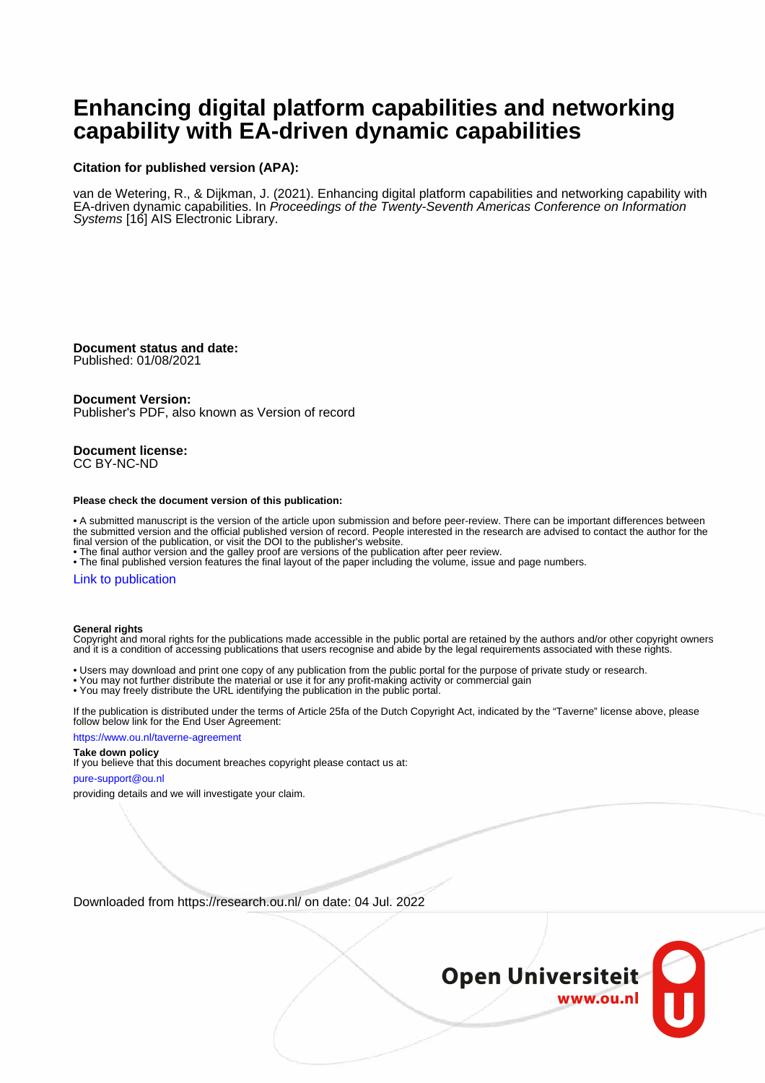# **Enhancing digital platform capabilities and networking capability with EA-driven dynamic capabilities**

#### **Citation for published version (APA):**

van de Wetering, R., & Dijkman, J. (2021). Enhancing digital platform capabilities and networking capability with EA-driven dynamic capabilities. In Proceedings of the Twenty-Seventh Americas Conference on Information Systems [16] AIS Electronic Library.

**Document status and date:** Published: 01/08/2021

#### **Document Version:**

Publisher's PDF, also known as Version of record

**Document license:** CC BY-NC-ND

#### **Please check the document version of this publication:**

• A submitted manuscript is the version of the article upon submission and before peer-review. There can be important differences between the submitted version and the official published version of record. People interested in the research are advised to contact the author for the final version of the publication, or visit the DOI to the publisher's website.

• The final author version and the galley proof are versions of the publication after peer review.

• The final published version features the final layout of the paper including the volume, issue and page numbers.

#### [Link to publication](https://research.ou.nl/en/publications/5885b5d9-b1bc-4f02-b9df-34f3168ebe54)

#### **General rights**

Copyright and moral rights for the publications made accessible in the public portal are retained by the authors and/or other copyright owners and it is a condition of accessing publications that users recognise and abide by the legal requirements associated with these rights.

- Users may download and print one copy of any publication from the public portal for the purpose of private study or research.
- You may not further distribute the material or use it for any profit-making activity or commercial gain
- You may freely distribute the URL identifying the publication in the public portal.

If the publication is distributed under the terms of Article 25fa of the Dutch Copyright Act, indicated by the "Taverne" license above, please follow below link for the End User Agreement:

#### https://www.ou.nl/taverne-agreement

#### **Take down policy**

If you believe that this document breaches copyright please contact us at:

#### pure-support@ou.nl

providing details and we will investigate your claim.

Downloaded from https://research.ou.nl/ on date: 04 Jul. 2022

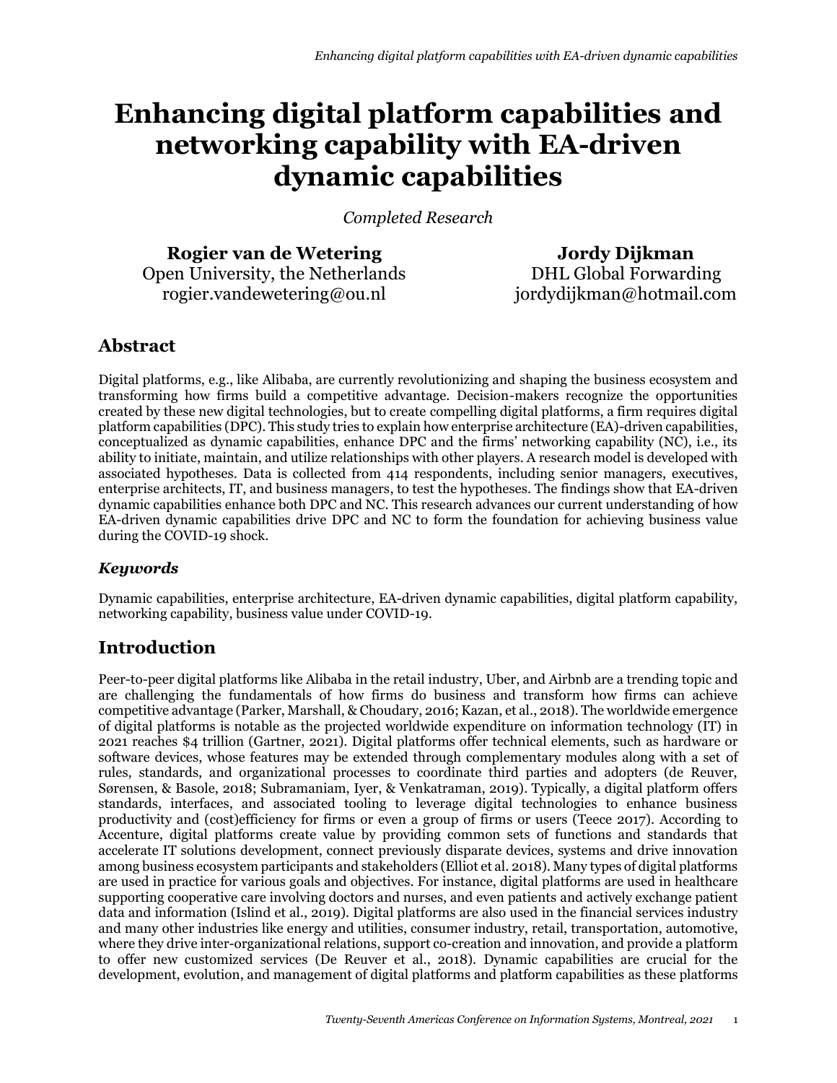# **Enhancing digital platform capabilities and networking capability with EA-driven dynamic capabilities**

*Completed Research*

**Rogier van de Wetering**  Open University, the Netherlands rogier.vandewetering@ou.nl

**Jordy Dijkman** DHL Global Forwarding jordydijkman@hotmail.com

# **Abstract**

Digital platforms, e.g., like Alibaba, are currently revolutionizing and shaping the business ecosystem and transforming how firms build a competitive advantage. Decision-makers recognize the opportunities created by these new digital technologies, but to create compelling digital platforms, a firm requires digital platform capabilities (DPC). This study tries to explain how enterprise architecture (EA)-driven capabilities, conceptualized as dynamic capabilities, enhance DPC and the firms' networking capability (NC), i.e., its ability to initiate, maintain, and utilize relationships with other players. A research model is developed with associated hypotheses. Data is collected from 414 respondents, including senior managers, executives, enterprise architects, IT, and business managers, to test the hypotheses. The findings show that EA-driven dynamic capabilities enhance both DPC and NC. This research advances our current understanding of how EA-driven dynamic capabilities drive DPC and NC to form the foundation for achieving business value during the COVID-19 shock.

## *Keywords*

Dynamic capabilities, enterprise architecture, EA-driven dynamic capabilities, digital platform capability, networking capability, business value under COVID-19.

# **Introduction**

Peer-to-peer digital platforms like Alibaba in the retail industry, Uber, and Airbnb are a trending topic and are challenging the fundamentals of how firms do business and transform how firms can achieve competitive advantage (Parker, Marshall, & Choudary, 2016; Kazan, et al., 2018). The worldwide emergence of digital platforms is notable as the projected worldwide expenditure on information technology (IT) in 2021 reaches \$4 trillion (Gartner, 2021). Digital platforms offer technical elements, such as hardware or software devices, whose features may be extended through complementary modules along with a set of rules, standards, and organizational processes to coordinate third parties and adopters (de Reuver, Sørensen, & Basole, 2018; Subramaniam, Iyer, & Venkatraman, 2019). Typically, a digital platform offers standards, interfaces, and associated tooling to leverage digital technologies to enhance business productivity and (cost)efficiency for firms or even a group of firms or users (Teece 2017). According to Accenture, digital platforms create value by providing common sets of functions and standards that accelerate IT solutions development, connect previously disparate devices, systems and drive innovation among business ecosystem participants and stakeholders (Elliot et al. 2018). Many types of digital platforms are used in practice for various goals and objectives. For instance, digital platforms are used in healthcare supporting cooperative care involving doctors and nurses, and even patients and actively exchange patient data and information (Islind et al., 2019). Digital platforms are also used in the financial services industry and many other industries like energy and utilities, consumer industry, retail, transportation, automotive, where they drive inter-organizational relations, support co-creation and innovation, and provide a platform to offer new customized services (De Reuver et al., 2018). Dynamic capabilities are crucial for the development, evolution, and management of digital platforms and platform capabilities as these platforms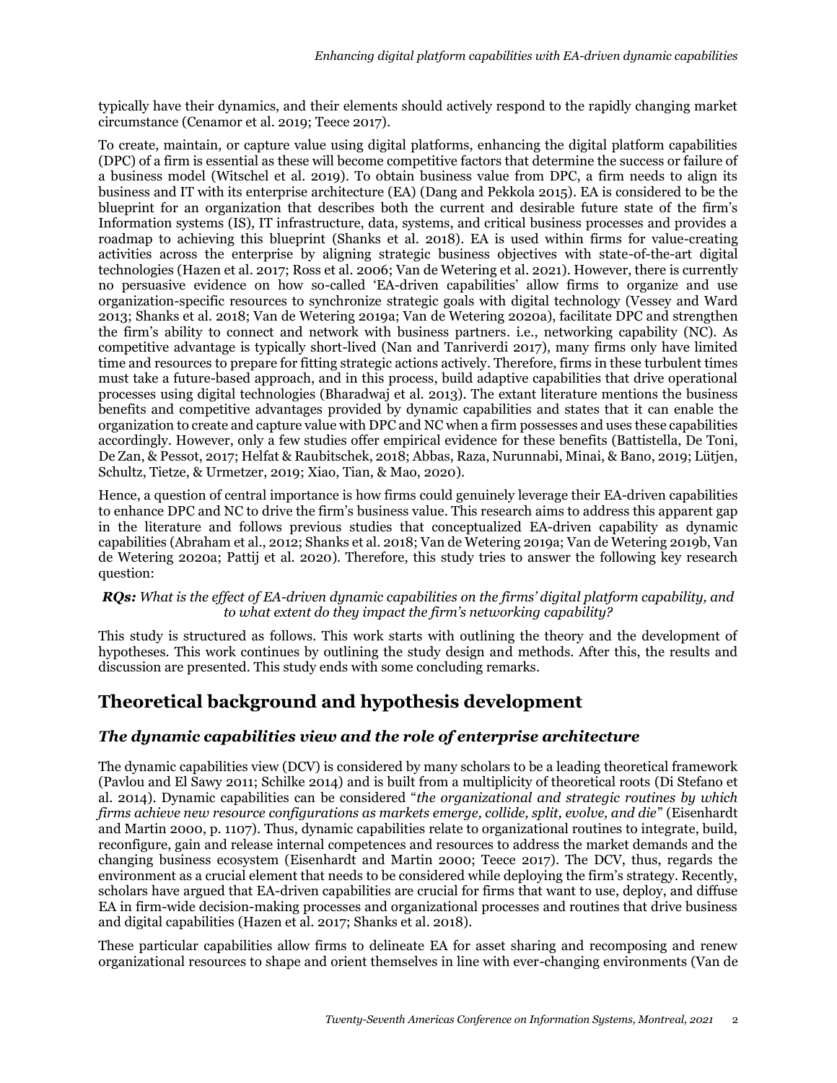typically have their dynamics, and their elements should actively respond to the rapidly changing market circumstance (Cenamor et al. 2019; Teece 2017).

To create, maintain, or capture value using digital platforms, enhancing the digital platform capabilities (DPC) of a firm is essential as these will become competitive factors that determine the success or failure of a business model (Witschel et al. 2019). To obtain business value from DPC, a firm needs to align its business and IT with its enterprise architecture (EA) (Dang and Pekkola 2015). EA is considered to be the blueprint for an organization that describes both the current and desirable future state of the firm's Information systems (IS), IT infrastructure, data, systems, and critical business processes and provides a roadmap to achieving this blueprint (Shanks et al. 2018). EA is used within firms for value-creating activities across the enterprise by aligning strategic business objectives with state-of-the-art digital technologies (Hazen et al. 2017; Ross et al. 2006; Van de Wetering et al. 2021). However, there is currently no persuasive evidence on how so-called 'EA-driven capabilities' allow firms to organize and use organization-specific resources to synchronize strategic goals with digital technology (Vessey and Ward 2013; Shanks et al. 2018; Van de Wetering 2019a; Van de Wetering 2020a), facilitate DPC and strengthen the firm's ability to connect and network with business partners. i.e., networking capability (NC). As competitive advantage is typically short-lived (Nan and Tanriverdi 2017), many firms only have limited time and resources to prepare for fitting strategic actions actively. Therefore, firms in these turbulent times must take a future-based approach, and in this process, build adaptive capabilities that drive operational processes using digital technologies (Bharadwaj et al. 2013). The extant literature mentions the business benefits and competitive advantages provided by dynamic capabilities and states that it can enable the organization to create and capture value with DPC and NC when a firm possesses and uses these capabilities accordingly. However, only a few studies offer empirical evidence for these benefits (Battistella, De Toni, De Zan, & Pessot, 2017; Helfat & Raubitschek, 2018; Abbas, Raza, Nurunnabi, Minai, & Bano, 2019; Lütjen, Schultz, Tietze, & Urmetzer, 2019; Xiao, Tian, & Mao, 2020).

Hence, a question of central importance is how firms could genuinely leverage their EA-driven capabilities to enhance DPC and NC to drive the firm's business value. This research aims to address this apparent gap in the literature and follows previous studies that conceptualized EA-driven capability as dynamic capabilities (Abraham et al., 2012; Shanks et al. 2018; Van de Wetering 2019a; Van de Wetering 2019b, Van de Wetering 2020a; Pattij et al. 2020). Therefore, this study tries to answer the following key research question:

#### *RQs: What is the effect of EA-driven dynamic capabilities on the firms' digital platform capability, and to what extent do they impact the firm's networking capability?*

This study is structured as follows. This work starts with outlining the theory and the development of hypotheses. This work continues by outlining the study design and methods. After this, the results and discussion are presented. This study ends with some concluding remarks.

# **Theoretical background and hypothesis development**

## *The dynamic capabilities view and the role of enterprise architecture*

The dynamic capabilities view (DCV) is considered by many scholars to be a leading theoretical framework (Pavlou and El Sawy 2011; Schilke 2014) and is built from a multiplicity of theoretical roots (Di Stefano et al. 2014). Dynamic capabilities can be considered "*the organizational and strategic routines by which firms achieve new resource configurations as markets emerge, collide, split, evolve, and die*" (Eisenhardt and Martin 2000, p. 1107). Thus, dynamic capabilities relate to organizational routines to integrate, build, reconfigure, gain and release internal competences and resources to address the market demands and the changing business ecosystem (Eisenhardt and Martin 2000; Teece 2017). The DCV, thus, regards the environment as a crucial element that needs to be considered while deploying the firm's strategy. Recently, scholars have argued that EA-driven capabilities are crucial for firms that want to use, deploy, and diffuse EA in firm-wide decision-making processes and organizational processes and routines that drive business and digital capabilities (Hazen et al. 2017; Shanks et al. 2018).

These particular capabilities allow firms to delineate EA for asset sharing and recomposing and renew organizational resources to shape and orient themselves in line with ever-changing environments (Van de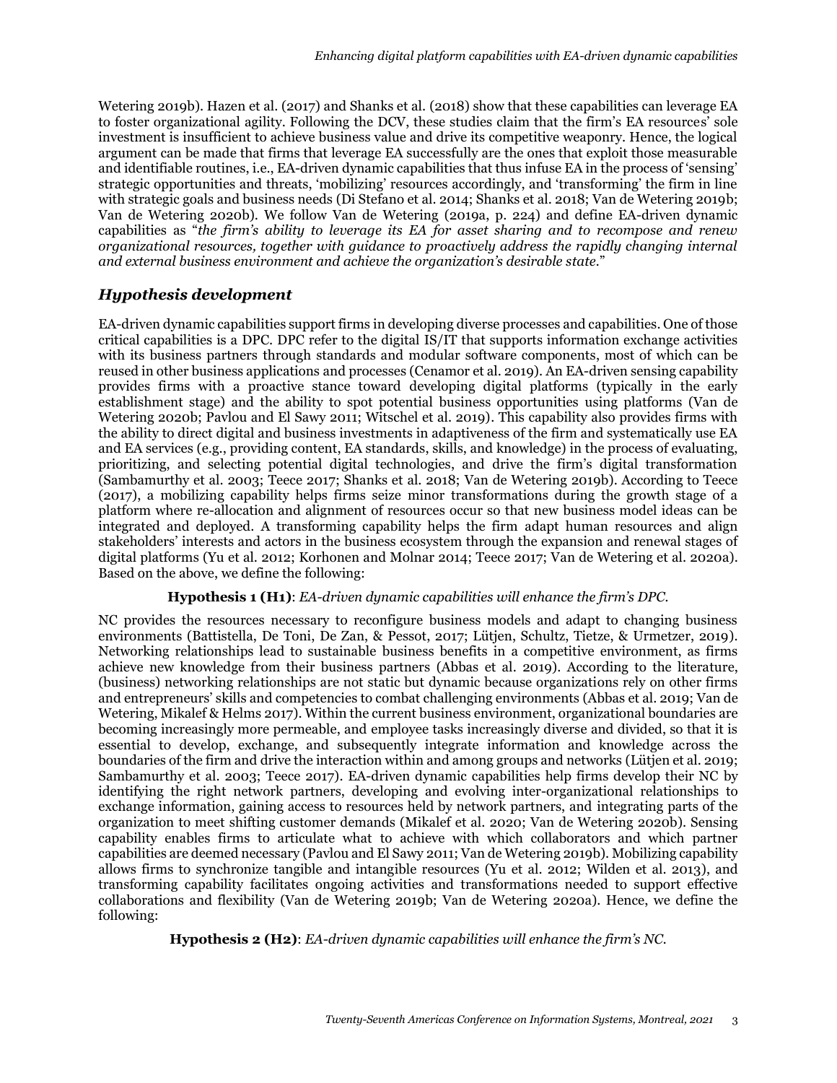Wetering 2019b). Hazen et al. (2017) and Shanks et al. (2018) show that these capabilities can leverage EA to foster organizational agility. Following the DCV, these studies claim that the firm's EA resources' sole investment is insufficient to achieve business value and drive its competitive weaponry. Hence, the logical argument can be made that firms that leverage EA successfully are the ones that exploit those measurable and identifiable routines, i.e., EA-driven dynamic capabilities that thus infuse EA in the process of 'sensing' strategic opportunities and threats, 'mobilizing' resources accordingly, and 'transforming' the firm in line with strategic goals and business needs (Di Stefano et al. 2014; Shanks et al. 2018; Van de Wetering 2019b; Van de Wetering 2020b). We follow Van de Wetering (2019a, p. 224) and define EA-driven dynamic capabilities as "*the firm's ability to leverage its EA for asset sharing and to recompose and renew organizational resources, together with guidance to proactively address the rapidly changing internal and external business environment and achieve the organization's desirable state.*"

## *Hypothesis development*

EA-driven dynamic capabilities support firms in developing diverse processes and capabilities. One of those critical capabilities is a DPC. DPC refer to the digital IS/IT that supports information exchange activities with its business partners through standards and modular software components, most of which can be reused in other business applications and processes (Cenamor et al. 2019). An EA-driven sensing capability provides firms with a proactive stance toward developing digital platforms (typically in the early establishment stage) and the ability to spot potential business opportunities using platforms (Van de Wetering 2020b; Pavlou and El Sawy 2011; Witschel et al. 2019). This capability also provides firms with the ability to direct digital and business investments in adaptiveness of the firm and systematically use EA and EA services (e.g., providing content, EA standards, skills, and knowledge) in the process of evaluating, prioritizing, and selecting potential digital technologies, and drive the firm's digital transformation (Sambamurthy et al. 2003; Teece 2017; Shanks et al. 2018; Van de Wetering 2019b). According to Teece (2017), a mobilizing capability helps firms seize minor transformations during the growth stage of a platform where re-allocation and alignment of resources occur so that new business model ideas can be integrated and deployed. A transforming capability helps the firm adapt human resources and align stakeholders' interests and actors in the business ecosystem through the expansion and renewal stages of digital platforms (Yu et al. 2012; Korhonen and Molnar 2014; Teece 2017; Van de Wetering et al. 2020a). Based on the above, we define the following:

### **Hypothesis 1 (H1)**: *EA-driven dynamic capabilities will enhance the firm's DPC.*

NC provides the resources necessary to reconfigure business models and adapt to changing business environments (Battistella, De Toni, De Zan, & Pessot, 2017; Lütjen, Schultz, Tietze, & Urmetzer, 2019). Networking relationships lead to sustainable business benefits in a competitive environment, as firms achieve new knowledge from their business partners (Abbas et al. 2019). According to the literature, (business) networking relationships are not static but dynamic because organizations rely on other firms and entrepreneurs' skills and competencies to combat challenging environments (Abbas et al. 2019; Van de Wetering, Mikalef & Helms 2017). Within the current business environment, organizational boundaries are becoming increasingly more permeable, and employee tasks increasingly diverse and divided, so that it is essential to develop, exchange, and subsequently integrate information and knowledge across the boundaries of the firm and drive the interaction within and among groups and networks (Lütjen et al. 2019; Sambamurthy et al. 2003; Teece 2017). EA-driven dynamic capabilities help firms develop their NC by identifying the right network partners, developing and evolving inter-organizational relationships to exchange information, gaining access to resources held by network partners, and integrating parts of the organization to meet shifting customer demands (Mikalef et al. 2020; Van de Wetering 2020b). Sensing capability enables firms to articulate what to achieve with which collaborators and which partner capabilities are deemed necessary (Pavlou and El Sawy 2011; Van de Wetering 2019b). Mobilizing capability allows firms to synchronize tangible and intangible resources (Yu et al. 2012; Wilden et al. 2013), and transforming capability facilitates ongoing activities and transformations needed to support effective collaborations and flexibility (Van de Wetering 2019b; Van de Wetering 2020a). Hence, we define the following:

**Hypothesis 2 (H2)**: *EA-driven dynamic capabilities will enhance the firm's NC.*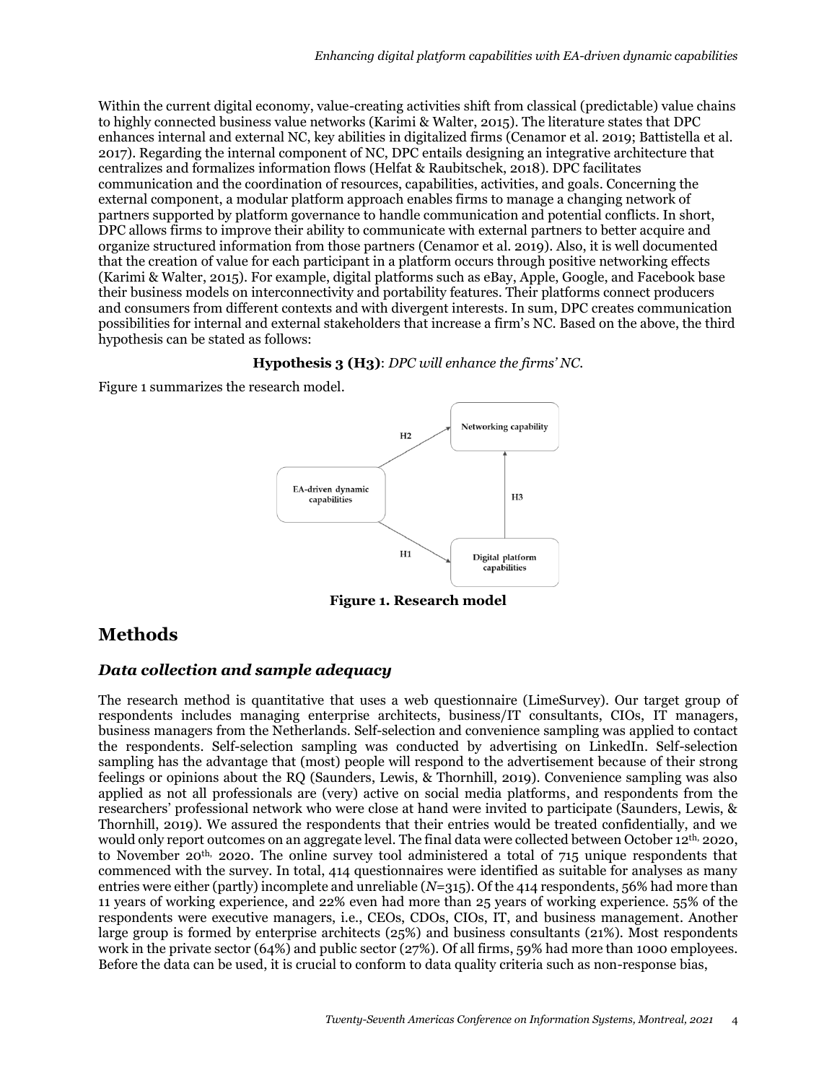Within the current digital economy, value-creating activities shift from classical (predictable) value chains to highly connected business value networks (Karimi & Walter, 2015). The literature states that DPC enhances internal and external NC, key abilities in digitalized firms (Cenamor et al. 2019; Battistella et al. 2017). Regarding the internal component of NC, DPC entails designing an integrative architecture that centralizes and formalizes information flows (Helfat & Raubitschek, 2018). DPC facilitates communication and the coordination of resources, capabilities, activities, and goals. Concerning the external component, a modular platform approach enables firms to manage a changing network of partners supported by platform governance to handle communication and potential conflicts. In short, DPC allows firms to improve their ability to communicate with external partners to better acquire and organize structured information from those partners (Cenamor et al. 2019). Also, it is well documented that the creation of value for each participant in a platform occurs through positive networking effects (Karimi & Walter, 2015). For example, digital platforms such as eBay, Apple, Google, and Facebook base their business models on interconnectivity and portability features. Their platforms connect producers and consumers from different contexts and with divergent interests. In sum, DPC creates communication possibilities for internal and external stakeholders that increase a firm's NC. Based on the above, the third hypothesis can be stated as follows:

#### **Hypothesis 3 (H3)**: *DPC will enhance the firms' NC.*

Figure 1 summarizes the research model.



**Figure 1. Research model**

## **Methods**

### *Data collection and sample adequacy*

The research method is quantitative that uses a web questionnaire (LimeSurvey). Our target group of respondents includes managing enterprise architects, business/IT consultants, CIOs, IT managers, business managers from the Netherlands. Self-selection and convenience sampling was applied to contact the respondents. Self-selection sampling was conducted by advertising on LinkedIn. Self-selection sampling has the advantage that (most) people will respond to the advertisement because of their strong feelings or opinions about the RQ (Saunders, Lewis, & Thornhill, 2019). Convenience sampling was also applied as not all professionals are (very) active on social media platforms, and respondents from the researchers' professional network who were close at hand were invited to participate (Saunders, Lewis, & Thornhill, 2019). We assured the respondents that their entries would be treated confidentially, and we would only report outcomes on an aggregate level. The final data were collected between October 12th, 2020, to November 20th, 2020. The online survey tool administered a total of 715 unique respondents that commenced with the survey. In total, 414 questionnaires were identified as suitable for analyses as many entries were either (partly) incomplete and unreliable (*N*=315). Of the 414 respondents, 56% had more than 11 years of working experience, and 22% even had more than 25 years of working experience. 55% of the respondents were executive managers, i.e., CEOs, CDOs, CIOs, IT, and business management. Another large group is formed by enterprise architects (25%) and business consultants (21%). Most respondents work in the private sector (64%) and public sector (27%). Of all firms, 59% had more than 1000 employees. Before the data can be used, it is crucial to conform to data quality criteria such as non-response bias,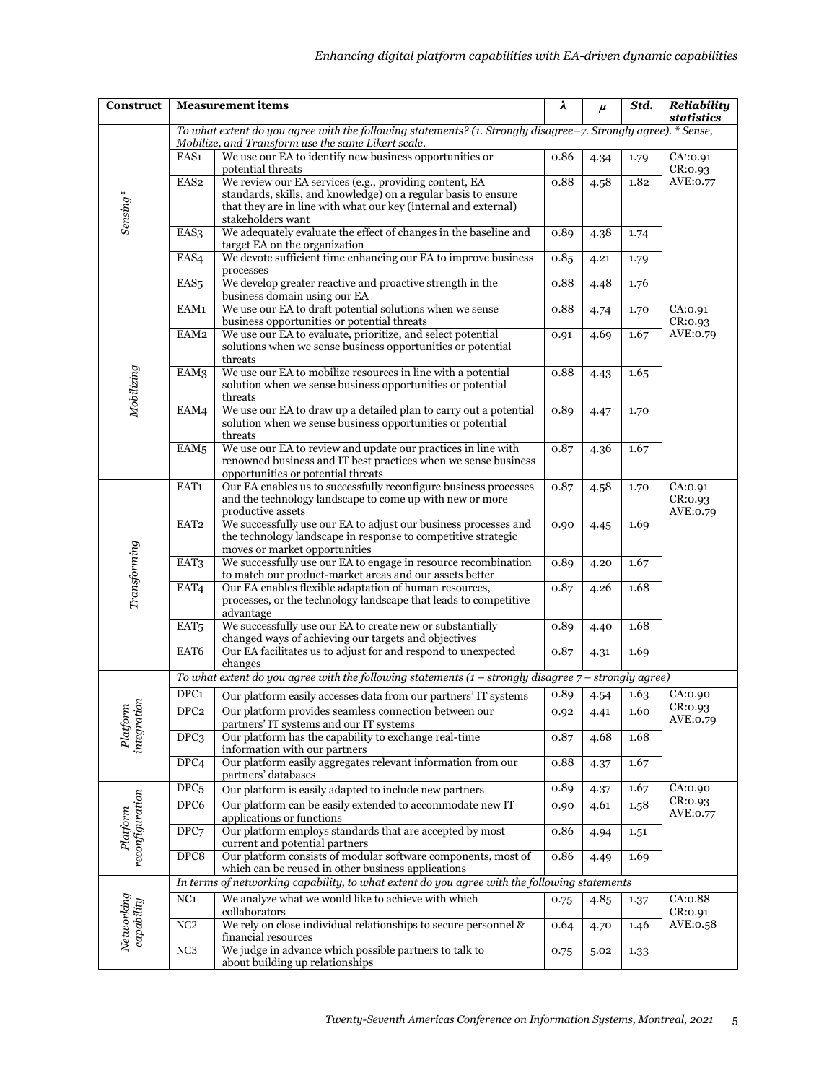| <b>Construct</b>            | <b>Measurement items</b>                                                                                                                                            |                                                                                                                                 | λ    | $\mu$ | Std. | Reliability<br>statistics        |  |  |  |  |
|-----------------------------|---------------------------------------------------------------------------------------------------------------------------------------------------------------------|---------------------------------------------------------------------------------------------------------------------------------|------|-------|------|----------------------------------|--|--|--|--|
|                             | To what extent do you agree with the following statements? (1. Strongly disagree-7. Strongly agree). * Sense,<br>Mobilize, and Transform use the same Likert scale. |                                                                                                                                 |      |       |      |                                  |  |  |  |  |
| Sensing*                    | EAS1                                                                                                                                                                | We use our EA to identify new business opportunities or<br>potential threats                                                    | 0.86 | 4.34  | 1.79 | CA <sup>1</sup> :0.91<br>CR:0.93 |  |  |  |  |
|                             | EAS <sub>2</sub>                                                                                                                                                    | We review our EA services (e.g., providing content, EA<br>standards, skills, and knowledge) on a regular basis to ensure        | 0.88 | 4.58  | 1.82 | AVE:0.77                         |  |  |  |  |
|                             |                                                                                                                                                                     | that they are in line with what our key (internal and external)<br>stakeholders want                                            |      |       |      |                                  |  |  |  |  |
|                             | EAS3                                                                                                                                                                | We adequately evaluate the effect of changes in the baseline and<br>target EA on the organization                               | 0.89 | 4.38  | 1.74 |                                  |  |  |  |  |
|                             | EAS4                                                                                                                                                                | We devote sufficient time enhancing our EA to improve business<br>processes                                                     | 0.85 | 4.21  | 1.79 |                                  |  |  |  |  |
|                             | EAS <sub>5</sub>                                                                                                                                                    | We develop greater reactive and proactive strength in the<br>business domain using our EA                                       | 0.88 | 4.48  | 1.76 |                                  |  |  |  |  |
| Mobilizing                  | EAM1                                                                                                                                                                | We use our EA to draft potential solutions when we sense<br>business opportunities or potential threats                         | 0.88 | 4.74  | 1.70 | CA:0.91<br>CR:0.93               |  |  |  |  |
|                             | EAM <sub>2</sub>                                                                                                                                                    | We use our EA to evaluate, prioritize, and select potential<br>solutions when we sense business opportunities or potential      | 0.91 | 4.69  | 1.67 | AVE:0.79                         |  |  |  |  |
|                             | EAM3                                                                                                                                                                | threats<br>We use our EA to mobilize resources in line with a potential                                                         | 0.88 | 4.43  | 1.65 |                                  |  |  |  |  |
|                             |                                                                                                                                                                     | solution when we sense business opportunities or potential<br>threats                                                           |      |       |      |                                  |  |  |  |  |
|                             | EAM4                                                                                                                                                                | We use our EA to draw up a detailed plan to carry out a potential<br>solution when we sense business opportunities or potential | 0.89 | 4.47  | 1.70 |                                  |  |  |  |  |
|                             | EAM <sub>5</sub>                                                                                                                                                    | threats<br>We use our EA to review and update our practices in line with                                                        | 0.87 | 4.36  | 1.67 |                                  |  |  |  |  |
|                             |                                                                                                                                                                     | renowned business and IT best practices when we sense business<br>opportunities or potential threats                            |      |       |      |                                  |  |  |  |  |
| Transforming                | EAT1                                                                                                                                                                | Our EA enables us to successfully reconfigure business processes<br>and the technology landscape to come up with new or more    | 0.87 | 4.58  | 1.70 | CA:0.91<br>CR:0.93               |  |  |  |  |
|                             | EAT <sub>2</sub>                                                                                                                                                    | productive assets<br>We successfully use our EA to adjust our business processes and                                            | 0.90 | 4.45  | 1.69 | AVE:0.79                         |  |  |  |  |
|                             |                                                                                                                                                                     | the technology landscape in response to competitive strategic<br>moves or market opportunities                                  |      |       |      |                                  |  |  |  |  |
|                             | EAT3                                                                                                                                                                | We successfully use our EA to engage in resource recombination<br>to match our product-market areas and our assets better       | 0.89 | 4.20  | 1.67 |                                  |  |  |  |  |
|                             | EAT4                                                                                                                                                                | Our EA enables flexible adaptation of human resources,<br>processes, or the technology landscape that leads to competitive      | 0.87 | 4.26  | 1.68 |                                  |  |  |  |  |
|                             | EAT <sub>5</sub>                                                                                                                                                    | advantage<br>We successfully use our EA to create new or substantially                                                          | 0.89 | 4.40  | 1.68 |                                  |  |  |  |  |
|                             | EAT6                                                                                                                                                                | changed ways of achieving our targets and objectives<br>Our EA facilitates us to adjust for and respond to unexpected           | 0.87 | 4.31  | 1.69 |                                  |  |  |  |  |
|                             |                                                                                                                                                                     | changes<br>To what extent do you agree with the following statements $(1 -$ strongly disagree $7 -$ strongly agree)             |      |       |      |                                  |  |  |  |  |
| Platform<br>integration     | DPC <sub>1</sub>                                                                                                                                                    | Our platform easily accesses data from our partners' IT systems                                                                 | 0.89 | 4.54  | 1.63 | CA:0.90                          |  |  |  |  |
|                             | DPC2                                                                                                                                                                | Our platform provides seamless connection between our<br>partners' IT systems and our IT systems                                | 0.92 | 4.41  | 1.60 | CR: 0.93<br>AVE:0.79             |  |  |  |  |
|                             | DPC <sub>3</sub>                                                                                                                                                    | Our platform has the capability to exchange real-time<br>information with our partners                                          | 0.87 | 4.68  | 1.68 |                                  |  |  |  |  |
|                             | DPC <sub>4</sub>                                                                                                                                                    | Our platform easily aggregates relevant information from our<br>partners' databases                                             | 0.88 | 4.37  | 1.67 |                                  |  |  |  |  |
| reconfiguration<br>Platform | DPC <sub>5</sub>                                                                                                                                                    | Our platform is easily adapted to include new partners                                                                          | 0.89 | 4.37  | 1.67 | CA:0.90                          |  |  |  |  |
|                             | DPC6                                                                                                                                                                | Our platform can be easily extended to accommodate new IT<br>applications or functions                                          | 0.90 | 4.61  | 1.58 | CR:0.93<br>AVE:0.77              |  |  |  |  |
|                             | DPC7                                                                                                                                                                | Our platform employs standards that are accepted by most<br>current and potential partners                                      | 0.86 | 4.94  | 1.51 |                                  |  |  |  |  |
|                             | DPC8                                                                                                                                                                | Our platform consists of modular software components, most of<br>which can be reused in other business applications             | 0.86 | 4.49  | 1.69 |                                  |  |  |  |  |
|                             |                                                                                                                                                                     | In terms of networking capability, to what extent do you agree with the following statements                                    |      |       |      |                                  |  |  |  |  |
| Networking<br>capability    | NC <sub>1</sub>                                                                                                                                                     | We analyze what we would like to achieve with which<br>collaborators                                                            | 0.75 | 4.85  | 1.37 | CA:0.88<br>CR: 0.91              |  |  |  |  |
|                             | NC2                                                                                                                                                                 | We rely on close individual relationships to secure personnel &<br>financial resources                                          | 0.64 | 4.70  | 1.46 | AVE:0.58                         |  |  |  |  |
|                             | NC <sub>3</sub>                                                                                                                                                     | We judge in advance which possible partners to talk to<br>about building up relationships                                       | 0.75 | 5.02  | 1.33 |                                  |  |  |  |  |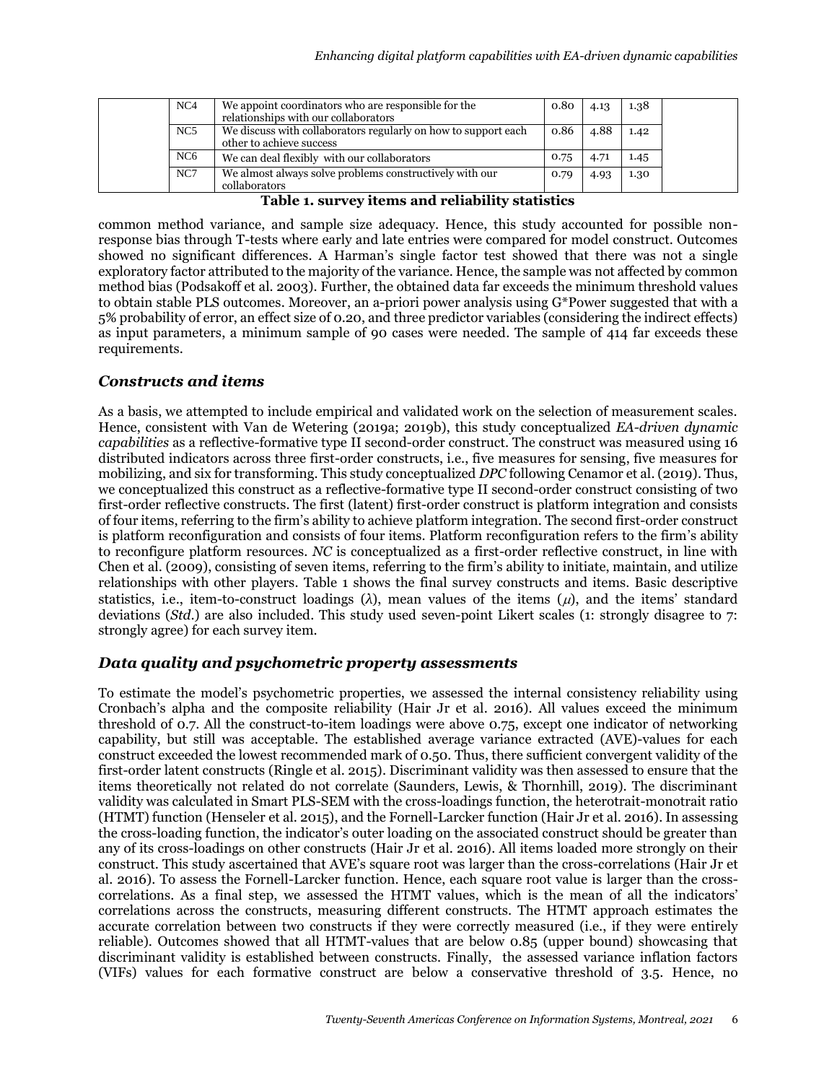| NC4             | We appoint coordinators who are responsible for the<br>relationships with our collaborators | 0.80 | 4.13 | 1.38 |
|-----------------|---------------------------------------------------------------------------------------------|------|------|------|
| NC5             | We discuss with collaborators regularly on how to support each<br>other to achieve success  | 0.86 | 4.88 | 1.42 |
| NC <sub>6</sub> | We can deal flexibly with our collaborators                                                 | 0.75 | 4.71 | 1.45 |
| NC7             | We almost always solve problems constructively with our<br>collaborators                    | 0.79 | 4.93 | 1.30 |

**Table 1. survey items and reliability statistics**

common method variance, and sample size adequacy. Hence, this study accounted for possible nonresponse bias through T-tests where early and late entries were compared for model construct. Outcomes showed no significant differences. A Harman's single factor test showed that there was not a single exploratory factor attributed to the majority of the variance. Hence, the sample was not affected by common method bias (Podsakoff et al. 2003). Further, the obtained data far exceeds the minimum threshold values to obtain stable PLS outcomes. Moreover, an a-priori power analysis using G\*Power suggested that with a 5% probability of error, an effect size of 0.20, and three predictor variables (considering the indirect effects) as input parameters, a minimum sample of 90 cases were needed. The sample of 414 far exceeds these requirements.

### *Constructs and items*

As a basis, we attempted to include empirical and validated work on the selection of measurement scales. Hence, consistent with Van de Wetering (2019a; 2019b), this study conceptualized *EA-driven dynamic capabilities* as a reflective-formative type II second-order construct. The construct was measured using 16 distributed indicators across three first-order constructs, i.e., five measures for sensing, five measures for mobilizing, and six for transforming. This study conceptualized *DPC* following Cenamor et al. (2019). Thus, we conceptualized this construct as a reflective-formative type II second-order construct consisting of two first-order reflective constructs. The first (latent) first-order construct is platform integration and consists of four items, referring to the firm's ability to achieve platform integration. The second first-order construct is platform reconfiguration and consists of four items. Platform reconfiguration refers to the firm's ability to reconfigure platform resources. *NC* is conceptualized as a first-order reflective construct, in line with Chen et al. (2009), consisting of seven items, referring to the firm's ability to initiate, maintain, and utilize relationships with other players. Table 1 shows the final survey constructs and items. Basic descriptive statistics, i.e., item-to-construct loadings  $(\lambda)$ , mean values of the items  $(\mu)$ , and the items' standard deviations (*Std*.) are also included. This study used seven-point Likert scales (1: strongly disagree to 7: strongly agree) for each survey item.

### *Data quality and psychometric property assessments*

To estimate the model's psychometric properties, we assessed the internal consistency reliability using Cronbach's alpha and the composite reliability (Hair Jr et al. 2016). All values exceed the minimum threshold of 0.7. All the construct-to-item loadings were above 0.75, except one indicator of networking capability, but still was acceptable. The established average variance extracted (AVE)-values for each construct exceeded the lowest recommended mark of 0.50. Thus, there sufficient convergent validity of the first-order latent constructs (Ringle et al. 2015). Discriminant validity was then assessed to ensure that the items theoretically not related do not correlate (Saunders, Lewis, & Thornhill, 2019). The discriminant validity was calculated in Smart PLS-SEM with the cross-loadings function, the heterotrait-monotrait ratio (HTMT) function (Henseler et al. 2015), and the Fornell-Larcker function (Hair Jr et al. 2016). In assessing the cross-loading function, the indicator's outer loading on the associated construct should be greater than any of its cross-loadings on other constructs (Hair Jr et al. 2016). All items loaded more strongly on their construct. This study [ascertaine](https://www.interglot.com/dictionary/en/nl/translate/ascertain?l=nl%7Cen)d that AVE's square root was larger than the cross-correlations (Hair Jr et al. 2016). To assess the Fornell-Larcker function. Hence, each square root value is larger than the crosscorrelations. As a final step, we assessed the HTMT values, which is the mean of all the indicators' correlations across the constructs, measuring different constructs. The HTMT approach estimates the accurate correlation between two constructs if they were correctly measured (i.e., if they were entirely reliable). Outcomes showed that all HTMT-values that are below 0.85 (upper bound) showcasing that discriminant validity is established between constructs. Finally, the assessed variance inflation factors (VIFs) values for each formative construct are below a conservative threshold of 3.5. Hence, no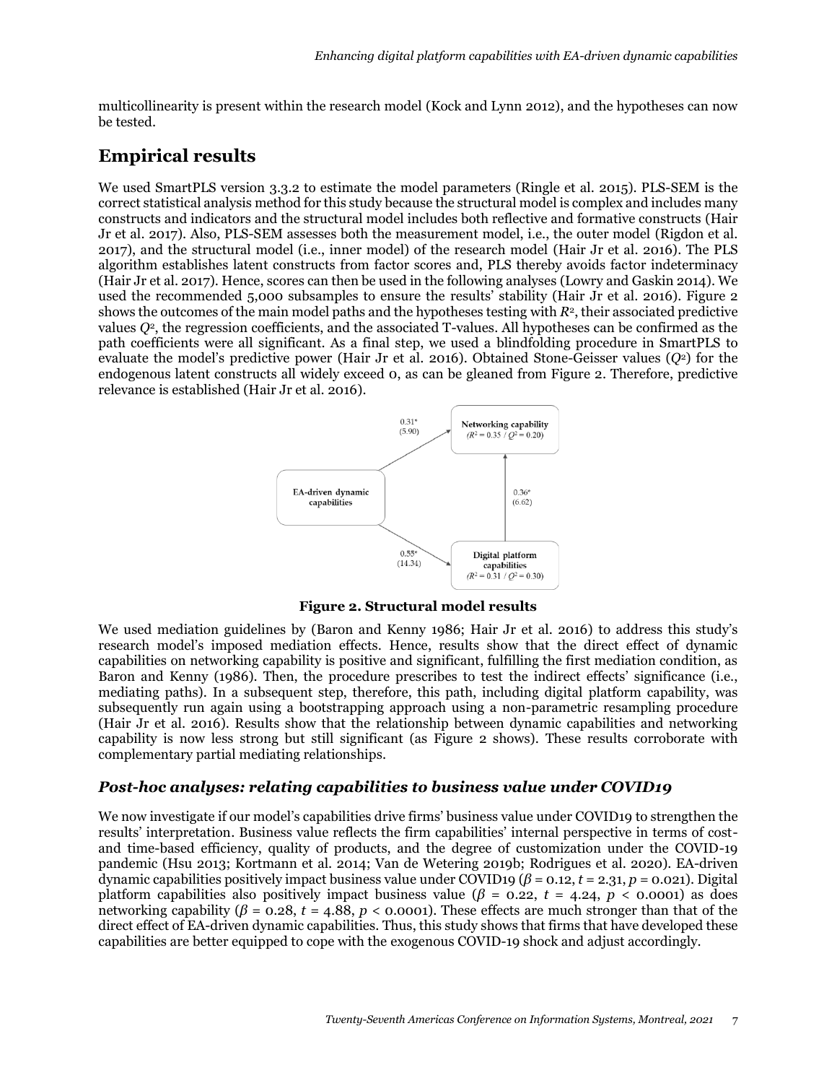multicollinearity is present within the research model (Kock and Lynn 2012), and the hypotheses can now be tested.

# **Empirical results**

We used SmartPLS version 3.3.2 to estimate the model parameters (Ringle et al. 2015). PLS-SEM is the correct statistical analysis method for this study because the structural model is complex and includes many constructs and indicators and the structural model includes both reflective and formative constructs (Hair Jr et al. 2017). Also, PLS-SEM assesses both the measurement model, i.e., the outer model (Rigdon et al. 2017), and the structural model (i.e., inner model) of the research model (Hair Jr et al. 2016). The PLS algorithm establishes latent constructs from factor scores and, PLS thereby avoids factor indeterminacy (Hair Jr et al. 2017). Hence, scores can then be used in the following analyses (Lowry and Gaskin 2014). We used the recommended 5,000 subsamples to ensure the results' stability (Hair Jr et al. 2016). Figure 2 shows the outcomes of the main model paths and the hypotheses testing with *R*2, their associated predictive values *Q*2, the regression coefficients, and the associated T-values. All hypotheses can be confirmed as the path coefficients were all significant. As a final step, we used a blindfolding procedure in SmartPLS to evaluate the model's predictive power (Hair Jr et al. 2016). Obtained Stone-Geisser values (*Q*2) for the endogenous latent constructs all widely exceed 0, as can be gleaned from Figure 2. Therefore, predictive relevance is established (Hair Jr et al. 2016).



**Figure 2. Structural model results**

We used mediation guidelines by (Baron and Kenny 1986; Hair Jr et al. 2016) to address this study's research model's imposed mediation effects. Hence, results show that the direct effect of dynamic capabilities on networking capability is positive and significant, fulfilling the first mediation condition, as Baron and Kenny (1986). Then, the procedure prescribes to test the indirect effects' significance (i.e., mediating paths). In a subsequent step, therefore, this path, including digital platform capability, was subsequently run again using a bootstrapping approach using a non-parametric resampling procedure (Hair Jr et al. 2016). Results show that the relationship between dynamic capabilities and networking capability is now less strong but still significant (as Figure 2 shows). These results corroborate with complementary partial mediating relationships.

## *Post-hoc analyses: relating capabilities to business value under COVID19*

We now investigate if our model's capabilities drive firms' business value under COVID19 to strengthen the results' interpretation. Business value reflects the firm capabilities' internal perspective in terms of costand time-based efficiency, quality of products, and the degree of customization under the COVID-19 pandemic (Hsu 2013; Kortmann et al. 2014; Van de Wetering 2019b; Rodrigues et al. 2020). EA-driven dynamic capabilities positively impact business value under COVID19 ( $\beta$  = 0.12, *t* = 2.31, *p* = 0.021). Digital platform capabilities also positively impact business value ( $\beta$  = 0.22,  $t$  = 4.24,  $p$  < 0.0001) as does networking capability ( $\beta$  = 0.28, *t* = 4.88, *p* < 0.0001). These effects are much stronger than that of the direct effect of EA-driven dynamic capabilities. Thus, this study shows that firms that have developed these capabilities are better equipped to cope with the exogenous COVID-19 shock and adjust accordingly.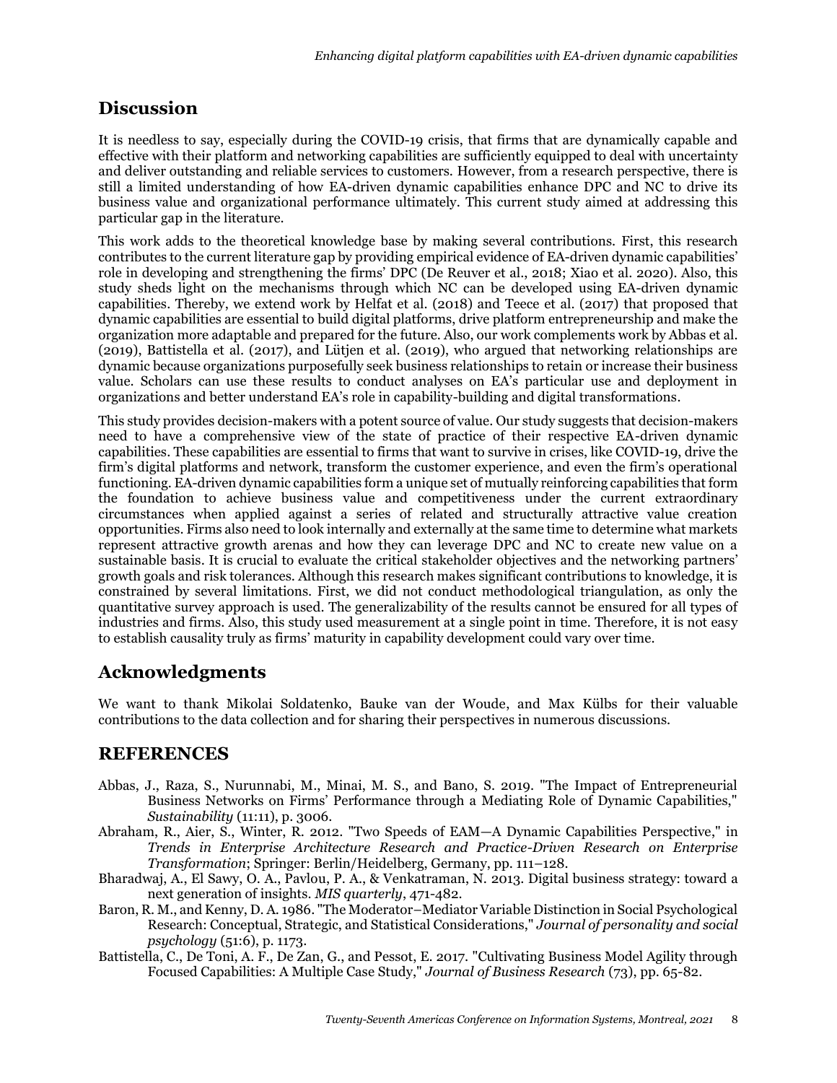# **Discussion**

It is needless to say, especially during the COVID-19 crisis, that firms that are dynamically capable and effective with their platform and networking capabilities are sufficiently equipped to deal with uncertainty and deliver outstanding and reliable services to customers. However, from a research perspective, there is still a limited understanding of how EA-driven dynamic capabilities enhance DPC and NC to drive its business value and organizational performance ultimately. This current study aimed at addressing this particular gap in the literature.

This work adds to the theoretical knowledge base by making several contributions. First, this research contributes to the current literature gap by providing empirical evidence of EA-driven dynamic capabilities' role in developing and strengthening the firms' DPC (De Reuver et al., 2018; Xiao et al. 2020). Also, this study sheds light on the mechanisms through which NC can be developed using EA-driven dynamic capabilities. Thereby, we extend work by Helfat et al. (2018) and Teece et al. (2017) that proposed that dynamic capabilities are essential to build digital platforms, drive platform entrepreneurship and make the organization more adaptable and prepared for the future. Also, our work complements work by Abbas et al. (2019), Battistella et al. (2017), and Lütjen et al. (2019), who argued that networking relationships are dynamic because organizations purposefully seek business relationships to retain or increase their business value. Scholars can use these results to conduct analyses on EA's particular use and deployment in organizations and better understand EA's role in capability-building and digital transformations.

This study provides decision-makers with a potent source of value. Our study suggests that decision-makers need to have a comprehensive view of the state of practice of their respective EA-driven dynamic capabilities. These capabilities are essential to firms that want to survive in crises, like COVID-19, drive the firm's digital platforms and network, transform the customer experience, and even the firm's operational functioning. EA-driven dynamic capabilities form a unique set of mutually reinforcing capabilities that form the foundation to achieve business value and competitiveness under the current extraordinary circumstances when applied against a series of related and structurally attractive value creation opportunities. Firms also need to look internally and externally at the same time to determine what markets represent attractive growth arenas and how they can leverage DPC and NC to create new value on a sustainable basis. It is crucial to evaluate the critical stakeholder objectives and the networking partners' growth goals and risk tolerances. Although this research makes significant contributions to knowledge, it is constrained by several limitations. First, we did not conduct methodological triangulation, as only the quantitative survey approach is used. The generalizability of the results cannot be ensured for all types of industries and firms. Also, this study used measurement at a single point in time. Therefore, it is not easy to establish causality truly as firms' maturity in capability development could vary over time.

# **Acknowledgments**

We want to thank Mikolai Soldatenko, Bauke van der Woude, and Max Külbs for their valuable contributions to the data collection and for sharing their perspectives in numerous discussions.

# **REFERENCES**

- Abbas, J., Raza, S., Nurunnabi, M., Minai, M. S., and Bano, S. 2019. "The Impact of Entrepreneurial Business Networks on Firms' Performance through a Mediating Role of Dynamic Capabilities," *Sustainability* (11:11), p. 3006.
- Abraham, R., Aier, S., Winter, R. 2012. "Two Speeds of EAM—A Dynamic Capabilities Perspective," in *Trends in Enterprise Architecture Research and Practice-Driven Research on Enterprise Transformation*; Springer: Berlin/Heidelberg, Germany, pp. 111–128.
- Bharadwaj, A., El Sawy, O. A., Pavlou, P. A., & Venkatraman, N. 2013. Digital business strategy: toward a next generation of insights. *MIS quarterly*, 471-482.
- Baron, R. M., and Kenny, D. A. 1986. "The Moderator–Mediator Variable Distinction in Social Psychological Research: Conceptual, Strategic, and Statistical Considerations," *Journal of personality and social psychology* (51:6), p. 1173.
- Battistella, C., De Toni, A. F., De Zan, G., and Pessot, E. 2017. "Cultivating Business Model Agility through Focused Capabilities: A Multiple Case Study," *Journal of Business Research* (73), pp. 65-82.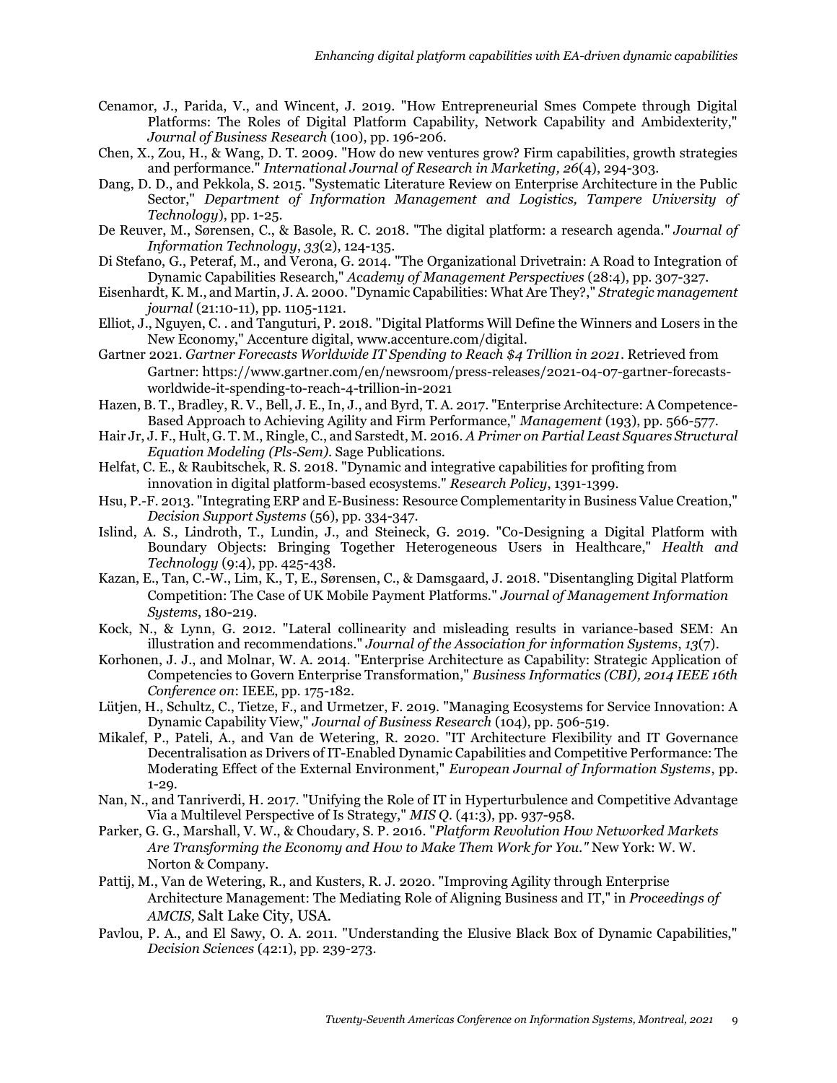- Cenamor, J., Parida, V., and Wincent, J. 2019. "How Entrepreneurial Smes Compete through Digital Platforms: The Roles of Digital Platform Capability, Network Capability and Ambidexterity," *Journal of Business Research* (100), pp. 196-206.
- Chen, X., Zou, H., & Wang, D. T. 2009. "How do new ventures grow? Firm capabilities, growth strategies and performance." *International Journal of Research in Marketing, 26*(4), 294-303.
- Dang, D. D., and Pekkola, S. 2015. "Systematic Literature Review on Enterprise Architecture in the Public Sector," *Department of Information Management and Logistics, Tampere University of Technology*), pp. 1-25.
- De Reuver, M., Sørensen, C., & Basole, R. C. 2018. "The digital platform: a research agenda." *Journal of Information Technology*, *33*(2), 124-135.
- Di Stefano, G., Peteraf, M., and Verona, G. 2014. "The Organizational Drivetrain: A Road to Integration of Dynamic Capabilities Research," *Academy of Management Perspectives* (28:4), pp. 307-327.
- Eisenhardt, K. M., and Martin, J. A. 2000. "Dynamic Capabilities: What Are They?," *Strategic management journal* (21:10-11), pp. 1105-1121.
- Elliot, J., Nguyen, C. . and Tanguturi, P. 2018. "Digital Platforms Will Define the Winners and Losers in the New Economy," Accenture digital, [www.accenture.com/digital.](www.accenture.com/digital)
- Gartner 2021. *Gartner Forecasts Worldwide IT Spending to Reach \$4 Trillion in 2021*. Retrieved from Gartner: https://www.gartner.com/en/newsroom/press-releases/2021-04-07-gartner-forecastsworldwide-it-spending-to-reach-4-trillion-in-2021
- Hazen, B. T., Bradley, R. V., Bell, J. E., In, J., and Byrd, T. A. 2017. "Enterprise Architecture: A Competence-Based Approach to Achieving Agility and Firm Performance," *Management* (193), pp. 566-577.
- Hair Jr, J. F., Hult, G. T. M., Ringle, C., and Sarstedt, M. 2016. *A Primer on Partial Least Squares Structural Equation Modeling (Pls-Sem)*. Sage Publications.
- Helfat, C. E., & Raubitschek, R. S. 2018. "Dynamic and integrative capabilities for profiting from innovation in digital platform-based ecosystems." *Research Policy*, 1391-1399.
- Hsu, P.-F. 2013. "Integrating ERP and E-Business: Resource Complementarity in Business Value Creation," *Decision Support Systems* (56), pp. 334-347.
- Islind, A. S., Lindroth, T., Lundin, J., and Steineck, G. 2019. "Co-Designing a Digital Platform with Boundary Objects: Bringing Together Heterogeneous Users in Healthcare," *Health and Technology* (9:4), pp. 425-438.
- Kazan, E., Tan, C.-W., Lim, K., T, E., Sørensen, C., & Damsgaard, J. 2018. "Disentangling Digital Platform Competition: The Case of UK Mobile Payment Platforms." *Journal of Management Information Systems*, 180-219.
- Kock, N., & Lynn, G. 2012. "Lateral collinearity and misleading results in variance-based SEM: An illustration and recommendations." *Journal of the Association for information Systems*, *13*(7).
- Korhonen, J. J., and Molnar, W. A. 2014. "Enterprise Architecture as Capability: Strategic Application of Competencies to Govern Enterprise Transformation," *Business Informatics (CBI), 2014 IEEE 16th Conference on*: IEEE, pp. 175-182.
- Lütjen, H., Schultz, C., Tietze, F., and Urmetzer, F. 2019. "Managing Ecosystems for Service Innovation: A Dynamic Capability View," *Journal of Business Research* (104), pp. 506-519.
- Mikalef, P., Pateli, A., and Van de Wetering, R. 2020. "IT Architecture Flexibility and IT Governance Decentralisation as Drivers of IT-Enabled Dynamic Capabilities and Competitive Performance: The Moderating Effect of the External Environment," *European Journal of Information Systems*, pp. 1-29.
- Nan, N., and Tanriverdi, H. 2017. "Unifying the Role of IT in Hyperturbulence and Competitive Advantage Via a Multilevel Perspective of Is Strategy," *MIS Q.* (41:3), pp. 937-958.
- Parker, G. G., Marshall, V. W., & Choudary, S. P. 2016. "*Platform Revolution How Networked Markets Are Transforming the Economy and How to Make Them Work for You."* New York: W. W. Norton & Company.
- Pattij, M., Van de Wetering, R., and Kusters, R. J. 2020. "Improving Agility through Enterprise Architecture Management: The Mediating Role of Aligning Business and IT," in *Proceedings of AMCIS,* Salt Lake City, USA.
- Pavlou, P. A., and El Sawy, O. A. 2011. "Understanding the Elusive Black Box of Dynamic Capabilities," *Decision Sciences* (42:1), pp. 239-273.